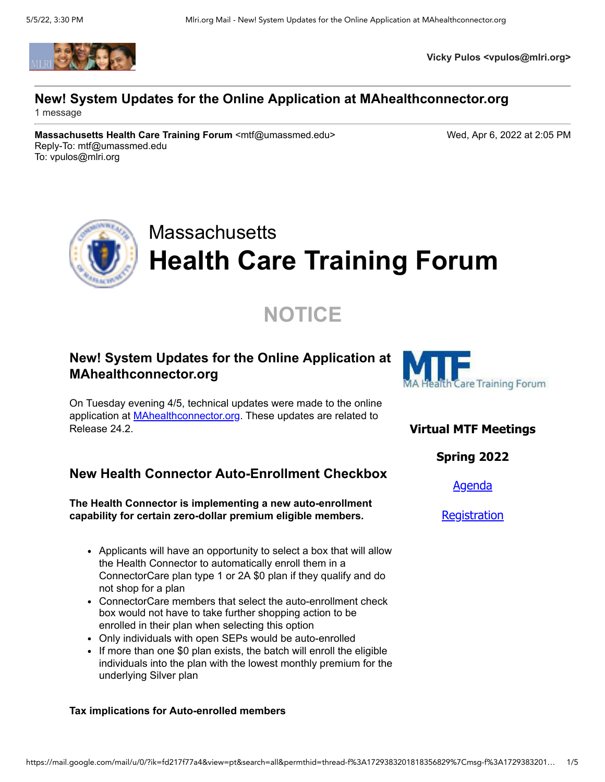

**Vicky Pulos <vpulos@mlri.org>**

## **New! System Updates for the Online Application at MAhealthconnector.org**

1 message

**Massachusetts Health Care Training Forum** <mtf@umassmed.edu> Wed, Apr 6, 2022 at 2:05 PM Reply-To: mtf@umassmed.edu To: vpulos@mlri.org

# **Massachusetts Health Care Training Forum**

# **NOTICE**

## **New! System Updates for the Online Application at MAhealthconnector.org**

On Tuesday evening 4/5, technical updates were made to the online application at **[MAhealthconnector.org](https://r20.rs6.net/tn.jsp?f=001qKFZQibfJO2dnZSJjDC_SKM7JXL3dHZs8aZf5EU_rC4gukBlBFxX8DqAUuSZJAeoYbXJB7atxeFfcE5QflUW_4lR05LCtz9oIyYfw1EB47d--TFQLd2mgzDIalMOwxHRuW8Z__Z9yIDSZ_JoGzvzAB-cPXsW23-X&c=PysnAfdGgUNafgCnb91rX5GHMOXfwUZYlo5pMil6cE724O3E1m0XIA==&ch=3ZEf2eHWjwwBEY6lwUz0NV5GjMj2x550zUkzzOmkTZrFoQsTENa4Pw==)**. These updates are related to Release 24.2.

## **New Health Connector Auto-Enrollment Checkbox**

**The Health Connector is implementing a new auto-enrollment capability for certain zero-dollar premium eligible members.**

- Applicants will have an opportunity to select a box that will allow the Health Connector to automatically enroll them in a ConnectorCare plan type 1 or 2A \$0 plan if they qualify and do not shop for a plan
- ConnectorCare members that select the auto-enrollment check box would not have to take further shopping action to be enrolled in their plan when selecting this option
- Only individuals with open SEPs would be auto-enrolled
- If more than one \$0 plan exists, the batch will enroll the eligible individuals into the plan with the lowest monthly premium for the underlying Silver plan

#### **Tax implications for Auto-enrolled members**



## **Virtual MTF Meetings**

**Spring 2022**

[Agenda](https://r20.rs6.net/tn.jsp?f=001qKFZQibfJO2dnZSJjDC_SKM7JXL3dHZs8aZf5EU_rC4gukBlBFxX8P9tzAYNMGmoCPMfLXLPmvvtVIX-sqypB6wMPYw8KhFA-OFmvlqftuX56ZVd0KxsGO1tJAJtMubFrqHnvhWHsOPw73YFXPz4LvGWQyf3bHtMnA3Gv_TzVHrHA_7shlSorlewqgm4NCkP7rGrb9iYnX8M5V_hQukwPFOalyYEj2UuTzuI4zfNJcU=&c=PysnAfdGgUNafgCnb91rX5GHMOXfwUZYlo5pMil6cE724O3E1m0XIA==&ch=3ZEf2eHWjwwBEY6lwUz0NV5GjMj2x550zUkzzOmkTZrFoQsTENa4Pw==)

**[Registration](https://r20.rs6.net/tn.jsp?f=001qKFZQibfJO2dnZSJjDC_SKM7JXL3dHZs8aZf5EU_rC4gukBlBFxX8FCX1EkSB3cN_xmipQ90sbb425GfRSoZdyval1dI2SRJYl6QYUQXqrPdWkzJHDhqOHe8I-fmgyJbHL2GqvDLXRVUlE1V_Uyub22cc9EXAoq1gLsAbXvjBKQuLdXDSn_ONDlHkJEeCOTsu8sY2zxmAfM=&c=PysnAfdGgUNafgCnb91rX5GHMOXfwUZYlo5pMil6cE724O3E1m0XIA==&ch=3ZEf2eHWjwwBEY6lwUz0NV5GjMj2x550zUkzzOmkTZrFoQsTENa4Pw==)**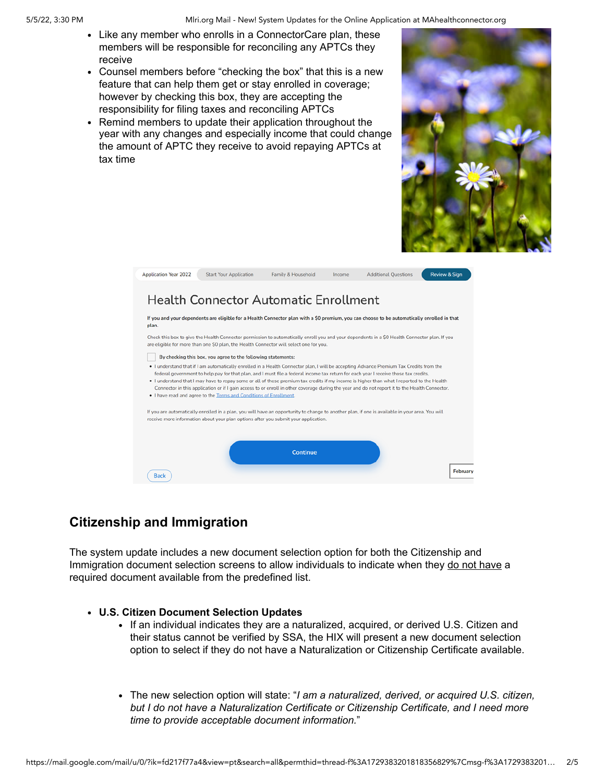#### 5/5/22, 3:30 PM **Mille Application at MAhealthconnector.org** Mille Online Application at MAhealthconnector.org

- Like any member who enrolls in a ConnectorCare plan, these members will be responsible for reconciling any APTCs they receive
- Counsel members before "checking the box" that this is a new feature that can help them get or stay enrolled in coverage; however by checking this box, they are accepting the responsibility for filing taxes and reconciling APTCs
- Remind members to update their application throughout the year with any changes and especially income that could change the amount of APTC they receive to avoid repaying APTCs at tax time



| <b>Application Year 2022</b>                                                                                                                                                                                                                                                                                                                                                                                                                                                                                                                                                                                                                          | <b>Start Your Application</b>                                                                                                                                                                                                          | Family & Household | Income | <b>Additional Questions</b> | <b>Review &amp; Sign</b> |
|-------------------------------------------------------------------------------------------------------------------------------------------------------------------------------------------------------------------------------------------------------------------------------------------------------------------------------------------------------------------------------------------------------------------------------------------------------------------------------------------------------------------------------------------------------------------------------------------------------------------------------------------------------|----------------------------------------------------------------------------------------------------------------------------------------------------------------------------------------------------------------------------------------|--------------------|--------|-----------------------------|--------------------------|
| <b>Health Connector Automatic Enrollment</b>                                                                                                                                                                                                                                                                                                                                                                                                                                                                                                                                                                                                          |                                                                                                                                                                                                                                        |                    |        |                             |                          |
| If you and your dependents are eligible for a Health Connector plan with a \$0 premium, you can choose to be automatically enrolled in that<br>plan.                                                                                                                                                                                                                                                                                                                                                                                                                                                                                                  |                                                                                                                                                                                                                                        |                    |        |                             |                          |
| Check this box to give the Health Connector permission to automatically enroll you and your dependents in a \$0 Health Connector plan. If you<br>are eligible for more than one \$0 plan, the Health Connector will select one for you.                                                                                                                                                                                                                                                                                                                                                                                                               |                                                                                                                                                                                                                                        |                    |        |                             |                          |
| By checking this box, you agree to the following statements:                                                                                                                                                                                                                                                                                                                                                                                                                                                                                                                                                                                          |                                                                                                                                                                                                                                        |                    |        |                             |                          |
| . I understand that if I am automatically enrolled in a Health Connector plan, I will be accepting Advance Premium Tax Credits from the<br>federal government to help pay for that plan, and I must file a federal income tax return for each year I receive those tax credits.<br>. I understand that I may have to repay some or all of those premium tax credits if my income is higher than what I reported to the Health<br>Connector in this application or if I gain access to or enroll in other coverage during the year and do not report it to the Health Connector.<br>. I have read and agree to the Terms and Conditions of Enrollment. |                                                                                                                                                                                                                                        |                    |        |                             |                          |
|                                                                                                                                                                                                                                                                                                                                                                                                                                                                                                                                                                                                                                                       | If you are automatically enrolled in a plan, you will have an opportunity to change to another plan, if one is available in your area. You will<br>receive more information about your plan options after you submit your application. |                    |        |                             |                          |
| <b>Back</b>                                                                                                                                                                                                                                                                                                                                                                                                                                                                                                                                                                                                                                           |                                                                                                                                                                                                                                        | Continue           |        |                             | February                 |

## **Citizenship and Immigration**

The system update includes a new document selection option for both the Citizenship and Immigration document selection screens to allow individuals to indicate when they do not have a required document available from the predefined list.

#### **U.S. Citizen Document Selection Updates**

- If an individual indicates they are a naturalized, acquired, or derived U.S. Citizen and their status cannot be verified by SSA, the HIX will present a new document selection option to select if they do not have a Naturalization or Citizenship Certificate available.
- The new selection option will state: "*I am a naturalized, derived, or acquired U.S. citizen, but I do not have a Naturalization Certificate or Citizenship Certificate, and I need more time to provide acceptable document information.*"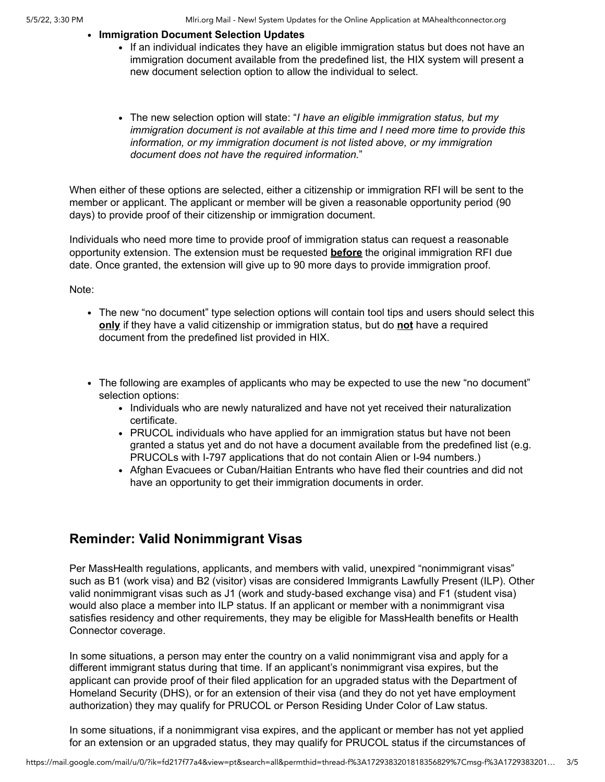#### **Immigration Document Selection Updates**

- If an individual indicates they have an eligible immigration status but does not have an immigration document available from the predefined list, the HIX system will present a new document selection option to allow the individual to select.
- The new selection option will state: "*I have an eligible immigration status, but my immigration document is not available at this time and I need more time to provide this information, or my immigration document is not listed above, or my immigration document does not have the required information.*"

When either of these options are selected, either a citizenship or immigration RFI will be sent to the member or applicant. The applicant or member will be given a reasonable opportunity period (90 days) to provide proof of their citizenship or immigration document.

Individuals who need more time to provide proof of immigration status can request a reasonable opportunity extension. The extension must be requested **before** the original immigration RFI due date. Once granted, the extension will give up to 90 more days to provide immigration proof.

Note:

- The new "no document" type selection options will contain tool tips and users should select this **only** if they have a valid citizenship or immigration status, but do **not** have a required document from the predefined list provided in HIX.
- The following are examples of applicants who may be expected to use the new "no document" selection options:
	- Individuals who are newly naturalized and have not yet received their naturalization certificate.
	- PRUCOL individuals who have applied for an immigration status but have not been granted a status yet and do not have a document available from the predefined list (e.g. PRUCOLs with I-797 applications that do not contain Alien or I-94 numbers.)
	- Afghan Evacuees or Cuban/Haitian Entrants who have fled their countries and did not have an opportunity to get their immigration documents in order.

## **Reminder: Valid Nonimmigrant Visas**

Per MassHealth regulations, applicants, and members with valid, unexpired "nonimmigrant visas" such as B1 (work visa) and B2 (visitor) visas are considered Immigrants Lawfully Present (ILP). Other valid nonimmigrant visas such as J1 (work and study-based exchange visa) and F1 (student visa) would also place a member into ILP status. If an applicant or member with a nonimmigrant visa satisfies residency and other requirements, they may be eligible for MassHealth benefits or Health Connector coverage.

In some situations, a person may enter the country on a valid nonimmigrant visa and apply for a different immigrant status during that time. If an applicant's nonimmigrant visa expires, but the applicant can provide proof of their filed application for an upgraded status with the Department of Homeland Security (DHS), or for an extension of their visa (and they do not yet have employment authorization) they may qualify for PRUCOL or Person Residing Under Color of Law status.

In some situations, if a nonimmigrant visa expires, and the applicant or member has not yet applied for an extension or an upgraded status, they may qualify for PRUCOL status if the circumstances of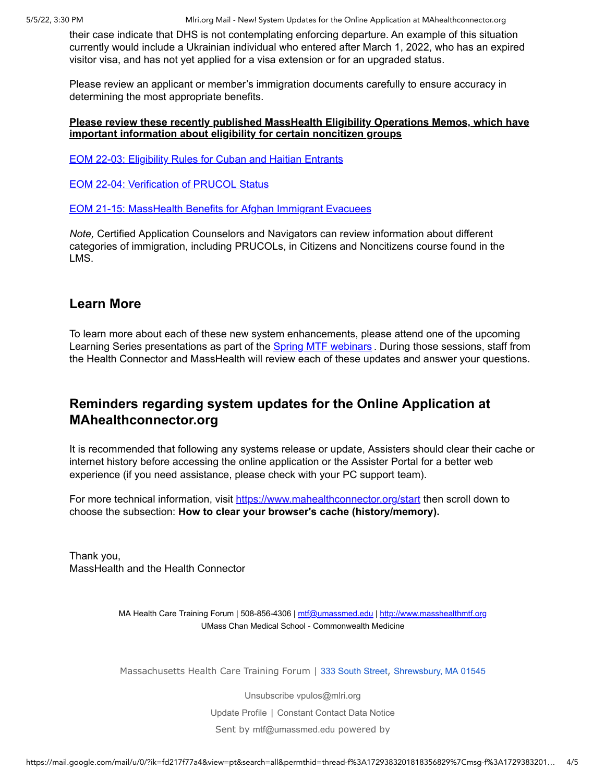5/5/22, 3:30 PM **Mullace Accord Mullace Mail - New!** System Updates for the Online Application at MAhealthconnector.org

their case indicate that DHS is not contemplating enforcing departure. An example of this situation currently would include a Ukrainian individual who entered after March 1, 2022, who has an expired visitor visa, and has not yet applied for a visa extension or for an upgraded status.

Please review an applicant or member's immigration documents carefully to ensure accuracy in determining the most appropriate benefits.

#### **Please review these recently published MassHealth Eligibility Operations Memos, which have important information about eligibility for certain noncitizen groups**

[EOM 22-03: Eligibility Rules for Cuban and Haitian Entrants](https://r20.rs6.net/tn.jsp?f=001qKFZQibfJO2dnZSJjDC_SKM7JXL3dHZs8aZf5EU_rC4gukBlBFxX8JkJ_NrsAEGADh5sqFc-3q-oLn6szuIod9607c3AJpATnysf4xDVCLCqm23RiNYvVoO9znfWgHbabEfFkhltFTHYWV7cozk_R02YlgCP5u5iq6y1N3qCFh1Vu4Xg2FvDb-SaEaVohP1V2tJFd0wsvotFyUkbqU1O0zLGBHvPNWLHnPmZyg2sWkvCOro6IZbapQ==&c=PysnAfdGgUNafgCnb91rX5GHMOXfwUZYlo5pMil6cE724O3E1m0XIA==&ch=3ZEf2eHWjwwBEY6lwUz0NV5GjMj2x550zUkzzOmkTZrFoQsTENa4Pw==)

[EOM 22-04: Verification of PRUCOL Status](https://r20.rs6.net/tn.jsp?f=001qKFZQibfJO2dnZSJjDC_SKM7JXL3dHZs8aZf5EU_rC4gukBlBFxX8JkJ_NrsAEGAsG71IPGrvhNvaq7sahaLzhO7XXyAF-BPj8Uyd_kRs-bf7pXG_TnvOTlE3rZG1HnEw8_0B4-9mvmv6OufIrdtoAf0t0qED8vGUrbjPMhCFUPpwklWrO_4Ow2YVk-h7Y408bEZ8ESEFLyLp52G-OJfFClhSCQML2Dh&c=PysnAfdGgUNafgCnb91rX5GHMOXfwUZYlo5pMil6cE724O3E1m0XIA==&ch=3ZEf2eHWjwwBEY6lwUz0NV5GjMj2x550zUkzzOmkTZrFoQsTENa4Pw==)

[EOM 21-15: MassHealth Benefits for Afghan Immigrant Evacuees](https://r20.rs6.net/tn.jsp?f=001qKFZQibfJO2dnZSJjDC_SKM7JXL3dHZs8aZf5EU_rC4gukBlBFxX8JkJ_NrsAEGAVuwrJj76Hg0A6oWUfxxoqR_X5CVOslBQjWY4pOXE6xGzBi1Rn393pfRsWl409aVZ2xe-1aUi7j-ATo1h2BRTgABbGvpSvz59zQQLu94i9tXqjrbmmJ3yxg5BtsKv24JIknrxNFtMEV2Ai7tvSMBWXhfh5IjRr1itJyRT9i1PgK_qH3nYj1QPiA==&c=PysnAfdGgUNafgCnb91rX5GHMOXfwUZYlo5pMil6cE724O3E1m0XIA==&ch=3ZEf2eHWjwwBEY6lwUz0NV5GjMj2x550zUkzzOmkTZrFoQsTENa4Pw==)

*Note,* Certified Application Counselors and Navigators can review information about different categories of immigration, including PRUCOLs, in Citizens and Noncitizens course found in the LMS.

### **Learn More**

To learn more about each of these new system enhancements, please attend one of the upcoming Learning Series presentations as part of the **[Spring MTF webinars](https://r20.rs6.net/tn.jsp?f=001qKFZQibfJO2dnZSJjDC_SKM7JXL3dHZs8aZf5EU_rC4gukBlBFxX8FCX1EkSB3cN_xmipQ90sbb425GfRSoZdyval1dI2SRJYl6QYUQXqrPdWkzJHDhqOHe8I-fmgyJbHL2GqvDLXRVUlE1V_Uyub22cc9EXAoq1gLsAbXvjBKQuLdXDSn_ONDlHkJEeCOTsu8sY2zxmAfM=&c=PysnAfdGgUNafgCnb91rX5GHMOXfwUZYlo5pMil6cE724O3E1m0XIA==&ch=3ZEf2eHWjwwBEY6lwUz0NV5GjMj2x550zUkzzOmkTZrFoQsTENa4Pw==)**. During those sessions, staff from the Health Connector and MassHealth will review each of these updates and answer your questions.

## **Reminders regarding system updates for the Online Application at MAhealthconnector.org**

It is recommended that following any systems release or update, Assisters should clear their cache or internet history before accessing the online application or the Assister Portal for a better web experience (if you need assistance, please check with your PC support team).

For more technical information, visit [https://www.mahealthconnector.org/start](https://r20.rs6.net/tn.jsp?f=001qKFZQibfJO2dnZSJjDC_SKM7JXL3dHZs8aZf5EU_rC4gukBlBFxX8DAtQ_b1bIxvN6QUeO2WyIbFGtYlS8NS854g5-1rJdLmzvkgQoXU0XsJcOIBDCBk5A_jtJ7GcHu0v5ioTQ0emjhqAbsuUoO4yLmCvHuUDP74G1ggI-GdQv3sknpoHJvGbzmFBlplNwNLfeqFj5P2iulFs0YYGpLlOZTLwPr5KEhBYvNUNm8voq1RUTn1DA8teZg6FTP3_9cBe1kBZvx8-7dyQXy3Y-MNnV-cG_m9jfWM5TsDy3KGqBik3V-zvQFTdqZH8zeCaD3Gp9XIlL2mwIEm8V1QCo4C-F84DHjSmTmFkytw_LWjBUFBlSKbIzs25EVWGNUS_dSuHlw3_qfadHnbmVI-aRjkWsW7hcTkRiarqhdw5M4KNCf2SxU_BPAUeKi-SKux_P1JCH8bwENqANhgobqaTeIUerAGGvpjiZvgijW_0sdGdJhreX0xLKohIS8-VniC_BQn2lkaWbo3bLOl5dau6AdWeeHLMraKanv9rRLvBglzk9Mbmh7QXEcG9q7DRbS1Bd4POWa7iQRo1lMZ2wojuKE-FotiB5dy6-r1PCBrJ3NPfORoiQgw5J5DICfwhhDe2s6N6GHlYhb4KMUqj8Itynp3_mrc1sSuqvnANF0l3X2O1Ne3jNdkzDdqiSyif-B6S4-b53T5QllHb_dEsUk4gZCm6tGUy7m01mO6f-a-dH98B0p_nzwvWiyONAi6wNUWBdZB&c=PysnAfdGgUNafgCnb91rX5GHMOXfwUZYlo5pMil6cE724O3E1m0XIA==&ch=3ZEf2eHWjwwBEY6lwUz0NV5GjMj2x550zUkzzOmkTZrFoQsTENa4Pw==) then scroll down to choose the subsection: **How to clear your browser's cache (history/memory).**

Thank you, MassHealth and the Health Connector

> MA Health Care Training Forum | 508-856-4306 | [mtf@umassmed.edu](mailto:mtf@umassmed.edu) | [http://www.masshealthmtf.org](https://r20.rs6.net/tn.jsp?f=001qKFZQibfJO2dnZSJjDC_SKM7JXL3dHZs8aZf5EU_rC4gukBlBFxX8IgYZZoebesLTjIbDuLZ8RlOWfiKchxdiowpbZ-uDKc98YirmYN3fdQRSYfzT9dauvOcLbkYyRPGqsziv8UpfMfENkhnrimSDcpoU3i0kod8&c=PysnAfdGgUNafgCnb91rX5GHMOXfwUZYlo5pMil6cE724O3E1m0XIA==&ch=3ZEf2eHWjwwBEY6lwUz0NV5GjMj2x550zUkzzOmkTZrFoQsTENa4Pw==) UMass Chan Medical School - Commonwealth Medicine

> Massachusetts Health Care Training Forum | [333 South Street](https://www.google.com/maps/search/333+South+Street+,++Shrewsbury,+MA+01545?entry=gmail&source=g), [Shrewsbury, MA 01545](https://www.google.com/maps/search/333+South+Street+,++Shrewsbury,+MA+01545?entry=gmail&source=g)

[Unsubscribe vpulos@mlri.org](https://visitor.constantcontact.com/do?p=un&m=001MX8fXVBHoHEynS5tIpRWuA%3D&ch=8500fd10-368d-11e3-b40c-d4ae527548e1&ca=8b1c55c7-7d3b-440b-b80c-a148ccba0011) [Update Profile](https://visitor.constantcontact.com/do?p=oo&m=001MX8fXVBHoHEynS5tIpRWuA%3D&ch=8500fd10-368d-11e3-b40c-d4ae527548e1&ca=8b1c55c7-7d3b-440b-b80c-a148ccba0011) | [Constant Contact Data Notice](https://www.constantcontact.com/legal/customer-contact-data-notice) Sent by [mtf@umassmed.edu](mailto:mtf@umassmed.edu) powered by